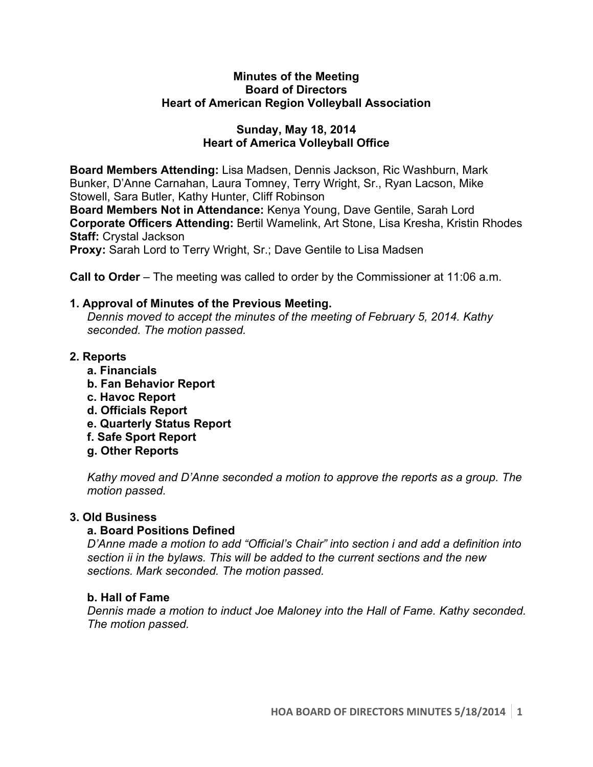### **Minutes of the Meeting Board of Directors Heart of American Region Volleyball Association**

## **Sunday, May 18, 2014 Heart of America Volleyball Office**

**Board Members Attending:** Lisa Madsen, Dennis Jackson, Ric Washburn, Mark Bunker, D'Anne Carnahan, Laura Tomney, Terry Wright, Sr., Ryan Lacson, Mike Stowell, Sara Butler, Kathy Hunter, Cliff Robinson

**Board Members Not in Attendance:** Kenya Young, Dave Gentile, Sarah Lord **Corporate Officers Attending:** Bertil Wamelink, Art Stone, Lisa Kresha, Kristin Rhodes **Staff:** Crystal Jackson

**Proxy:** Sarah Lord to Terry Wright, Sr.; Dave Gentile to Lisa Madsen

**Call to Order** – The meeting was called to order by the Commissioner at 11:06 a.m.

# **1. Approval of Minutes of the Previous Meeting.**

*Dennis moved to accept the minutes of the meeting of February 5, 2014. Kathy seconded. The motion passed.*

# **2. Reports**

- **a. Financials**
- **b. Fan Behavior Report**
- **c. Havoc Report**
- **d. Officials Report**
- **e. Quarterly Status Report**
- **f. Safe Sport Report**
- **g. Other Reports**

*Kathy moved and D'Anne seconded a motion to approve the reports as a group. The motion passed.* 

## **3. Old Business**

# **a. Board Positions Defined**

*D'Anne made a motion to add "Official's Chair" into section i and add a definition into section ii in the bylaws. This will be added to the current sections and the new sections. Mark seconded. The motion passed.* 

## **b. Hall of Fame**

*Dennis made a motion to induct Joe Maloney into the Hall of Fame. Kathy seconded. The motion passed.*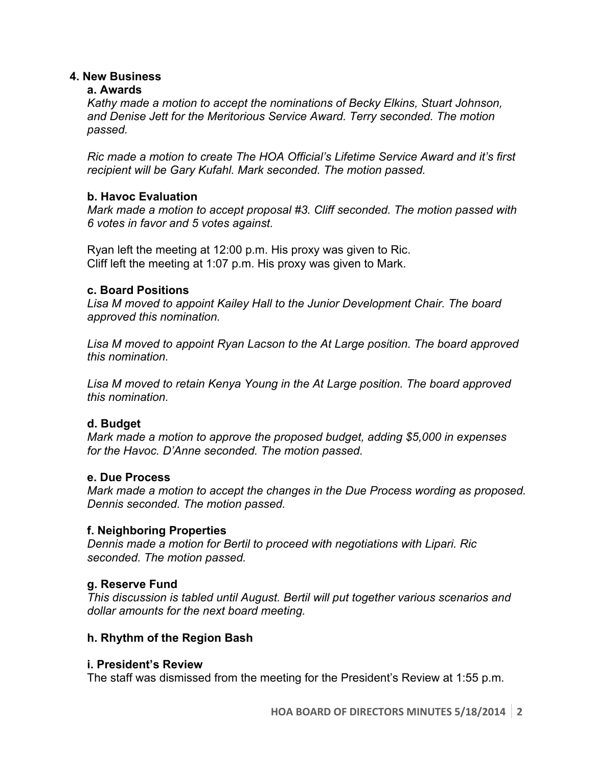### **4. New Business**

#### **a. Awards**

*Kathy made a motion to accept the nominations of Becky Elkins, Stuart Johnson, and Denise Jett for the Meritorious Service Award. Terry seconded. The motion passed.*

*Ric made a motion to create The HOA Official's Lifetime Service Award and it's first recipient will be Gary Kufahl. Mark seconded. The motion passed.* 

### **b. Havoc Evaluation**

*Mark made a motion to accept proposal #3. Cliff seconded. The motion passed with 6 votes in favor and 5 votes against.* 

Ryan left the meeting at 12:00 p.m. His proxy was given to Ric. Cliff left the meeting at 1:07 p.m. His proxy was given to Mark.

### **c. Board Positions**

*Lisa M moved to appoint Kailey Hall to the Junior Development Chair. The board approved this nomination.* 

*Lisa M moved to appoint Ryan Lacson to the At Large position. The board approved this nomination.* 

*Lisa M moved to retain Kenya Young in the At Large position. The board approved this nomination.* 

## **d. Budget**

*Mark made a motion to approve the proposed budget, adding \$5,000 in expenses for the Havoc. D'Anne seconded. The motion passed.* 

#### **e. Due Process**

*Mark made a motion to accept the changes in the Due Process wording as proposed. Dennis seconded. The motion passed.*

## **f. Neighboring Properties**

*Dennis made a motion for Bertil to proceed with negotiations with Lipari. Ric seconded. The motion passed.* 

## **g. Reserve Fund**

*This discussion is tabled until August. Bertil will put together various scenarios and dollar amounts for the next board meeting.*

## **h. Rhythm of the Region Bash**

#### **i. President's Review**

The staff was dismissed from the meeting for the President's Review at 1:55 p.m.